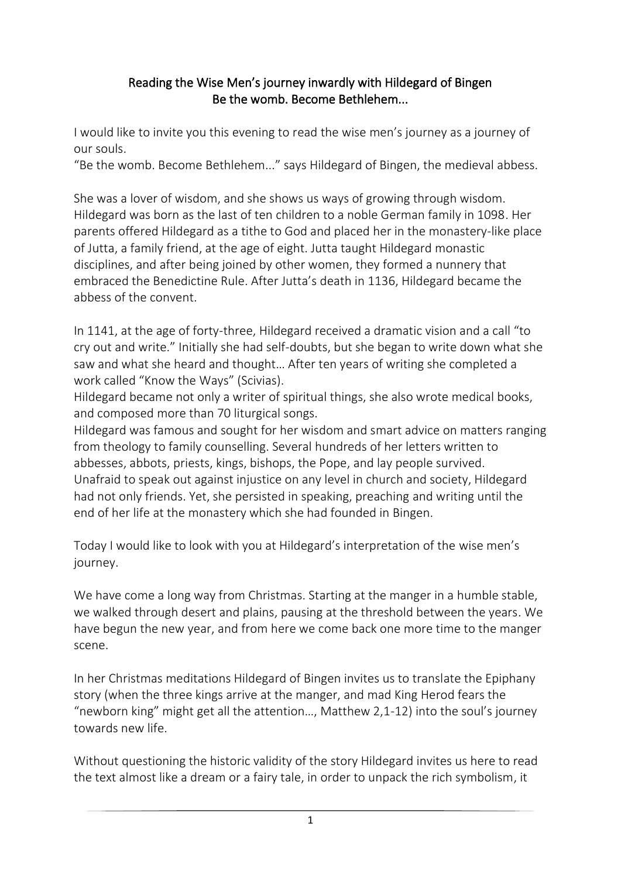### Reading the Wise Men's journey inwardly with Hildegard of Bingen Be the womb. Become Bethlehem...

I would like to invite you this evening to read the wise men's journey as a journey of our souls.

"Be the womb. Become Bethlehem..." says Hildegard of Bingen, the medieval abbess.

She was a lover of wisdom, and she shows us ways of growing through wisdom. Hildegard was born as the last of ten children to a noble German family in 1098. Her parents offered Hildegard as a tithe to God and placed her in the monastery-like place of Jutta, a family friend, at the age of eight. Jutta taught Hildegard monastic disciplines, and after being joined by other women, they formed a nunnery that embraced the Benedictine Rule. After Jutta's death in 1136, Hildegard became the abbess of the convent.

In 1141, at the age of forty-three, Hildegard received a dramatic vision and a call "to cry out and write." Initially she had self-doubts, but she began to write down what she saw and what she heard and thought… After ten years of writing she completed a work called "Know the Ways" (Scivias).

Hildegard became not only a writer of spiritual things, she also wrote medical books, and composed more than 70 liturgical songs.

Hildegard was famous and sought for her wisdom and smart advice on matters ranging from theology to family counselling. Several hundreds of her letters written to abbesses, abbots, priests, kings, bishops, the Pope, and lay people survived. Unafraid to speak out against injustice on any level in church and society, Hildegard had not only friends. Yet, she persisted in speaking, preaching and writing until the end of her life at the monastery which she had founded in Bingen.

Today I would like to look with you at Hildegard's interpretation of the wise men's journey.

We have come a long way from Christmas. Starting at the manger in a humble stable, we walked through desert and plains, pausing at the threshold between the years. We have begun the new year, and from here we come back one more time to the manger scene.

In her Christmas meditations Hildegard of Bingen invites us to translate the Epiphany story (when the three kings arrive at the manger, and mad King Herod fears the "newborn king" might get all the attention…, Matthew 2,1-12) into the soul's journey towards new life.

Without questioning the historic validity of the story Hildegard invites us here to read the text almost like a dream or a fairy tale, in order to unpack the rich symbolism, it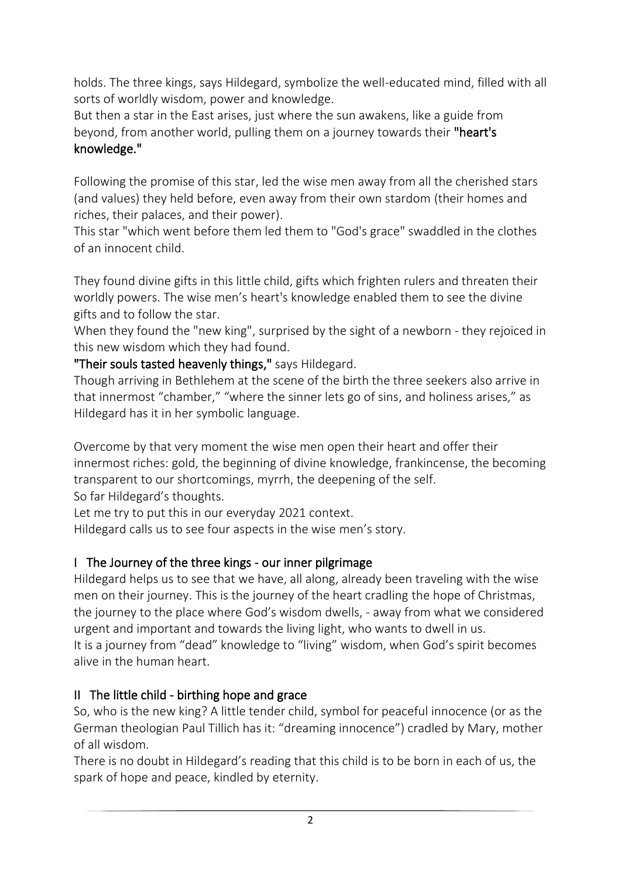holds. The three kings, says Hildegard, symbolize the well-educated mind, filled with all sorts of worldly wisdom, power and knowledge.

But then a star in the East arises, just where the sun awakens, like a guide from beyond, from another world, pulling them on a journey towards their "heart's knowledge."

Following the promise of this star, led the wise men away from all the cherished stars (and values) they held before, even away from their own stardom (their homes and riches, their palaces, and their power).

This star "which went before them led them to "God's grace" swaddled in the clothes of an innocent child.

They found divine gifts in this little child, gifts which frighten rulers and threaten their worldly powers. The wise men's heart's knowledge enabled them to see the divine gifts and to follow the star.

When they found the "new king", surprised by the sight of a newborn - they rejoiced in this new wisdom which they had found.

"Their souls tasted heavenly things," says Hildegard.

Though arriving in Bethlehem at the scene of the birth the three seekers also arrive in that innermost "chamber," "where the sinner lets go of sins, and holiness arises," as Hildegard has it in her symbolic language.

Overcome by that very moment the wise men open their heart and offer their innermost riches: gold, the beginning of divine knowledge, frankincense, the becoming transparent to our shortcomings, myrrh, the deepening of the self. So far Hildegard's thoughts.

Let me try to put this in our everyday 2021 context.

Hildegard calls us to see four aspects in the wise men's story.

# I The Journey of the three kings - our inner pilgrimage

Hildegard helps us to see that we have, all along, already been traveling with the wise men on their journey. This is the journey of the heart cradling the hope of Christmas, the journey to the place where God's wisdom dwells, - away from what we considered urgent and important and towards the living light, who wants to dwell in us. It is a journey from "dead" knowledge to "living" wisdom, when God's spirit becomes alive in the human heart.

# II The little child - birthing hope and grace

So, who is the new king? A little tender child, symbol for peaceful innocence (or as the German theologian Paul Tillich has it: "dreaming innocence") cradled by Mary, mother of all wisdom.

There is no doubt in Hildegard's reading that this child is to be born in each of us, the spark of hope and peace, kindled by eternity.